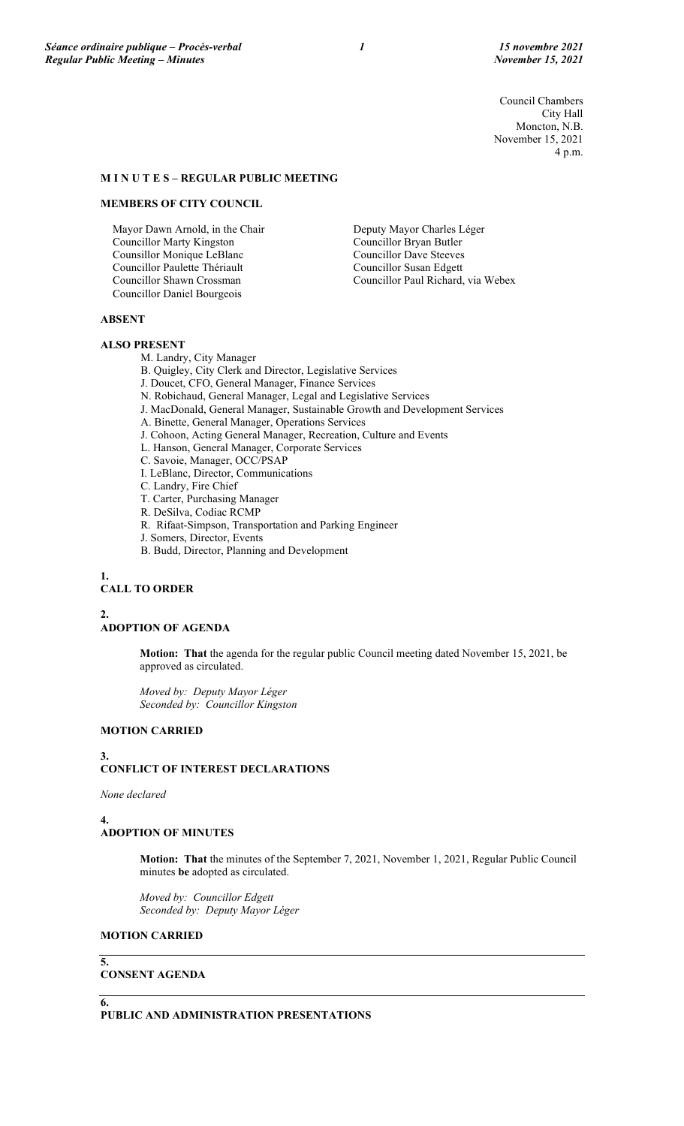Council Chambers City Hall Moncton, N.B. November 15, 2021 4 p.m.

# **M I N U T E S – REGULAR PUBLIC MEETING**

### **MEMBERS OF CITY COUNCIL**

Mayor Dawn Arnold, in the Chair Councillor Marty Kingston Counsillor Monique LeBlanc Councillor Paulette Thériault Councillor Shawn Crossman Councillor Daniel Bourgeois

Deputy Mayor Charles Léger Councillor Bryan Butler Councillor Dave Steeves Councillor Susan Edgett Councillor Paul Richard, via Webex

### **ABSENT**

#### **ALSO PRESENT**

M. Landry, City Manager

B. Quigley, City Clerk and Director, Legislative Services

- J. Doucet, CFO, General Manager, Finance Services
- N. Robichaud, General Manager, Legal and Legislative Services
- J. MacDonald, General Manager, Sustainable Growth and Development Services
- A. Binette, General Manager, Operations Services
- J. Cohoon, Acting General Manager, Recreation, Culture and Events
- L. Hanson, General Manager, Corporate Services
- C. Savoie, Manager, OCC/PSAP
- I. LeBlanc, Director, Communications
- C. Landry, Fire Chief

T. Carter, Purchasing Manager

- R. DeSilva, Codiac RCMP
- R. Rifaat-Simpson, Transportation and Parking Engineer
- J. Somers, Director, Events
- B. Budd, Director, Planning and Development

**1.**

## **CALL TO ORDER**

**2.**

# **ADOPTION OF AGENDA**

**Motion: That** the agenda for the regular public Council meeting dated November 15, 2021, be approved as circulated.

*Moved by: Deputy Mayor Léger Seconded by: Councillor Kingston*

# **MOTION CARRIED**

#### **3.**

# **CONFLICT OF INTEREST DECLARATIONS**

*None declared*

#### **4.**

# **ADOPTION OF MINUTES**

**Motion: That** the minutes of the September 7, 2021, November 1, 2021, Regular Public Council minutes **be** adopted as circulated.

*Moved by: Councillor Edgett Seconded by: Deputy Mayor Léger*

## **MOTION CARRIED**

## **CONSENT AGENDA**

**6.**

**5.**

**PUBLIC AND ADMINISTRATION PRESENTATIONS**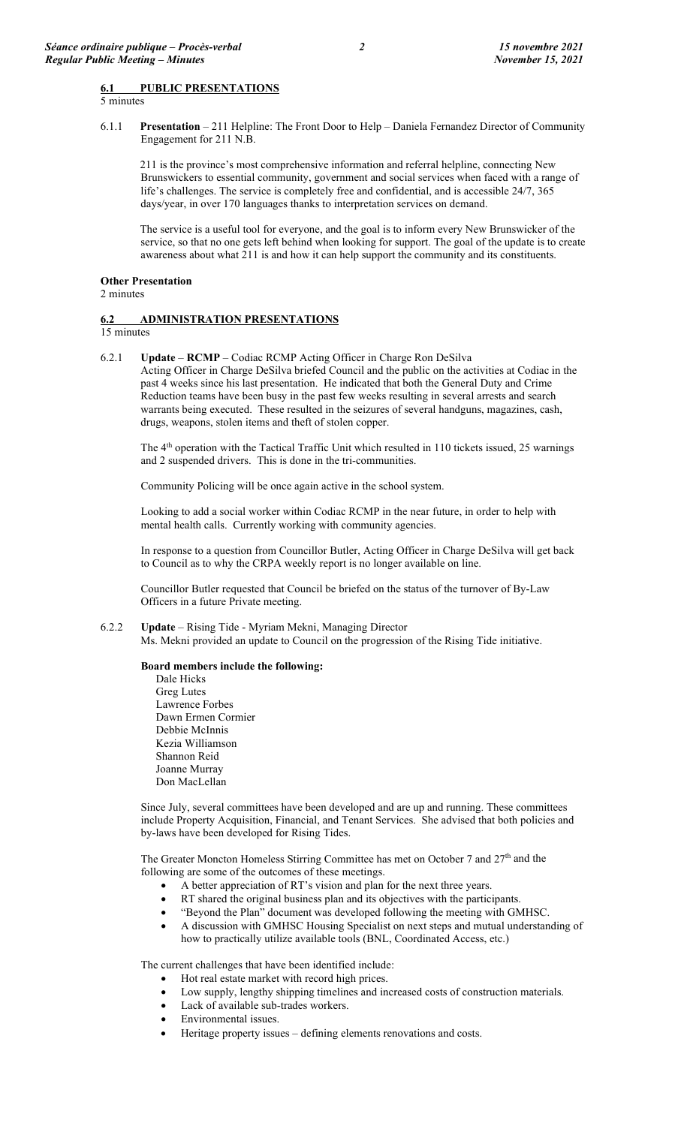### **6.1 PUBLIC PRESENTATIONS**

5 minutes

6.1.1 **Presentation** – 211 Helpline: The Front Door to Help – Daniela Fernandez Director of Community Engagement for 211 N.B.

211 is the province's most comprehensive information and referral helpline, connecting New Brunswickers to essential community, government and social services when faced with a range of life's challenges. The service is completely free and confidential, and is accessible 24/7, 365 days/year, in over 170 languages thanks to interpretation services on demand.

The service is a useful tool for everyone, and the goal is to inform every New Brunswicker of the service, so that no one gets left behind when looking for support. The goal of the update is to create awareness about what 211 is and how it can help support the community and its constituents.

#### **Other Presentation**

2 minutes

## **6.2 ADMINISTRATION PRESENTATIONS**

15 minutes

6.2.1 **Update** – **RCMP** – Codiac RCMP Acting Officer in Charge Ron DeSilva Acting Officer in Charge DeSilva briefed Council and the public on the activities at Codiac in the past 4 weeks since his last presentation. He indicated that both the General Duty and Crime Reduction teams have been busy in the past few weeks resulting in several arrests and search warrants being executed. These resulted in the seizures of several handguns, magazines, cash, drugs, weapons, stolen items and theft of stolen copper.

The 4<sup>th</sup> operation with the Tactical Traffic Unit which resulted in 110 tickets issued, 25 warnings and 2 suspended drivers. This is done in the tri-communities.

Community Policing will be once again active in the school system.

Looking to add a social worker within Codiac RCMP in the near future, in order to help with mental health calls. Currently working with community agencies.

In response to a question from Councillor Butler, Acting Officer in Charge DeSilva will get back to Council as to why the CRPA weekly report is no longer available on line.

Councillor Butler requested that Council be briefed on the status of the turnover of By-Law Officers in a future Private meeting.

### 6.2.2 **Update** – Rising Tide - Myriam Mekni, Managing Director

Ms. Mekni provided an update to Council on the progression of the Rising Tide initiative.

### **Board members include the following:**

Dale Hicks Greg Lutes Lawrence Forbes Dawn Ermen Cormier Debbie McInnis Kezia Williamson Shannon Reid Joanne Murray Don MacLellan

Since July, several committees have been developed and are up and running. These committees include Property Acquisition, Financial, and Tenant Services. She advised that both policies and by-laws have been developed for Rising Tides.

The Greater Moncton Homeless Stirring Committee has met on October 7 and  $27<sup>th</sup>$  and the following are some of the outcomes of these meetings.

- A better appreciation of RT's vision and plan for the next three years.
- RT shared the original business plan and its objectives with the participants.
- "Beyond the Plan" document was developed following the meeting with GMHSC.
- A discussion with GMHSC Housing Specialist on next steps and mutual understanding of how to practically utilize available tools (BNL, Coordinated Access, etc.)

The current challenges that have been identified include:

- Hot real estate market with record high prices.
	- Low supply, lengthy shipping timelines and increased costs of construction materials.
	- Lack of available sub-trades workers.
	- Environmental issues.
- Heritage property issues defining elements renovations and costs.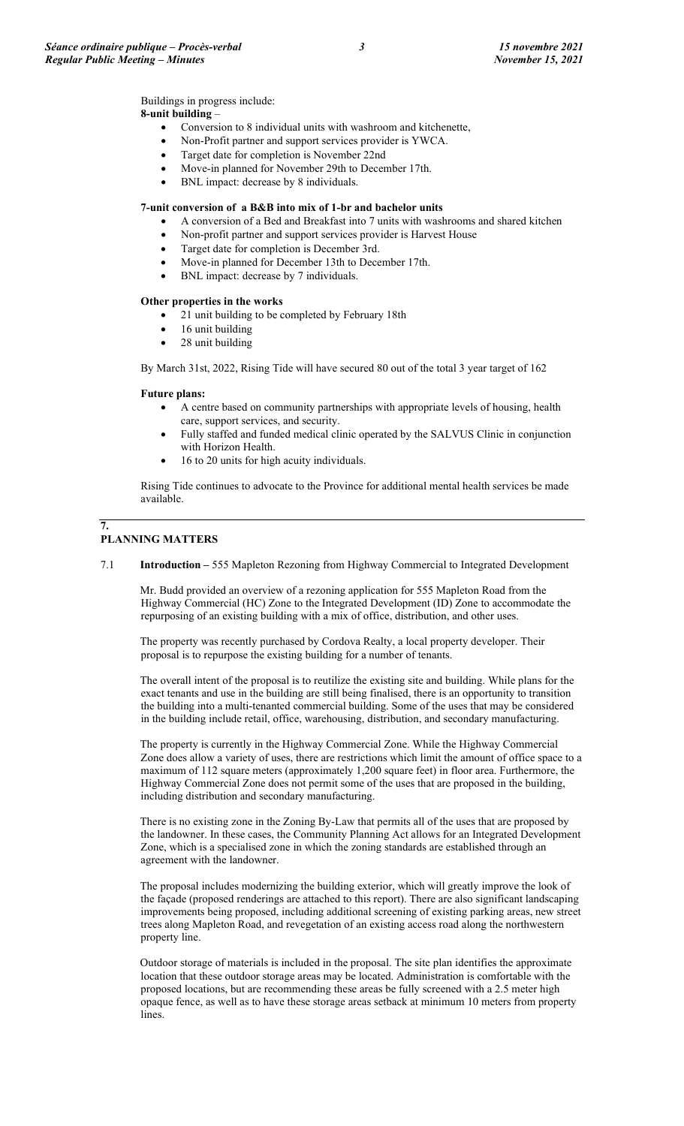Buildings in progress include:

# **8-unit building** –

- Conversion to 8 individual units with washroom and kitchenette,
- Non-Profit partner and support services provider is YWCA.
- Target date for completion is November 22nd
- Move-in planned for November 29th to December 17th.
- BNL impact: decrease by 8 individuals.

## **7-unit conversion of a B&B into mix of 1-br and bachelor units**

- A conversion of a Bed and Breakfast into 7 units with washrooms and shared kitchen
- Non-profit partner and support services provider is Harvest House
- Target date for completion is December 3rd.
- Move-in planned for December 13th to December 17th.
- BNL impact: decrease by 7 individuals.

## **Other properties in the works**

- 21 unit building to be completed by February 18th
- 16 unit building
- 28 unit building

By March 31st, 2022, Rising Tide will have secured 80 out of the total 3 year target of 162

## **Future plans:**

- A centre based on community partnerships with appropriate levels of housing, health care, support services, and security.
- Fully staffed and funded medical clinic operated by the SALVUS Clinic in conjunction with Horizon Health.
- 16 to 20 units for high acuity individuals.

Rising Tide continues to advocate to the Province for additional mental health services be made available.

## **PLANNING MATTERS**

**7.**

7.1 **Introduction –** 555 Mapleton Rezoning from Highway Commercial to Integrated Development

Mr. Budd provided an overview of a rezoning application for 555 Mapleton Road from the Highway Commercial (HC) Zone to the Integrated Development (ID) Zone to accommodate the repurposing of an existing building with a mix of office, distribution, and other uses.

The property was recently purchased by Cordova Realty, a local property developer. Their proposal is to repurpose the existing building for a number of tenants.

The overall intent of the proposal is to reutilize the existing site and building. While plans for the exact tenants and use in the building are still being finalised, there is an opportunity to transition the building into a multi-tenanted commercial building. Some of the uses that may be considered in the building include retail, office, warehousing, distribution, and secondary manufacturing.

The property is currently in the Highway Commercial Zone. While the Highway Commercial Zone does allow a variety of uses, there are restrictions which limit the amount of office space to a maximum of 112 square meters (approximately 1,200 square feet) in floor area. Furthermore, the Highway Commercial Zone does not permit some of the uses that are proposed in the building, including distribution and secondary manufacturing.

There is no existing zone in the Zoning By-Law that permits all of the uses that are proposed by the landowner. In these cases, the Community Planning Act allows for an Integrated Development Zone, which is a specialised zone in which the zoning standards are established through an agreement with the landowner.

The proposal includes modernizing the building exterior, which will greatly improve the look of the façade (proposed renderings are attached to this report). There are also significant landscaping improvements being proposed, including additional screening of existing parking areas, new street trees along Mapleton Road, and revegetation of an existing access road along the northwestern property line.

Outdoor storage of materials is included in the proposal. The site plan identifies the approximate location that these outdoor storage areas may be located. Administration is comfortable with the proposed locations, but are recommending these areas be fully screened with a 2.5 meter high opaque fence, as well as to have these storage areas setback at minimum 10 meters from property lines.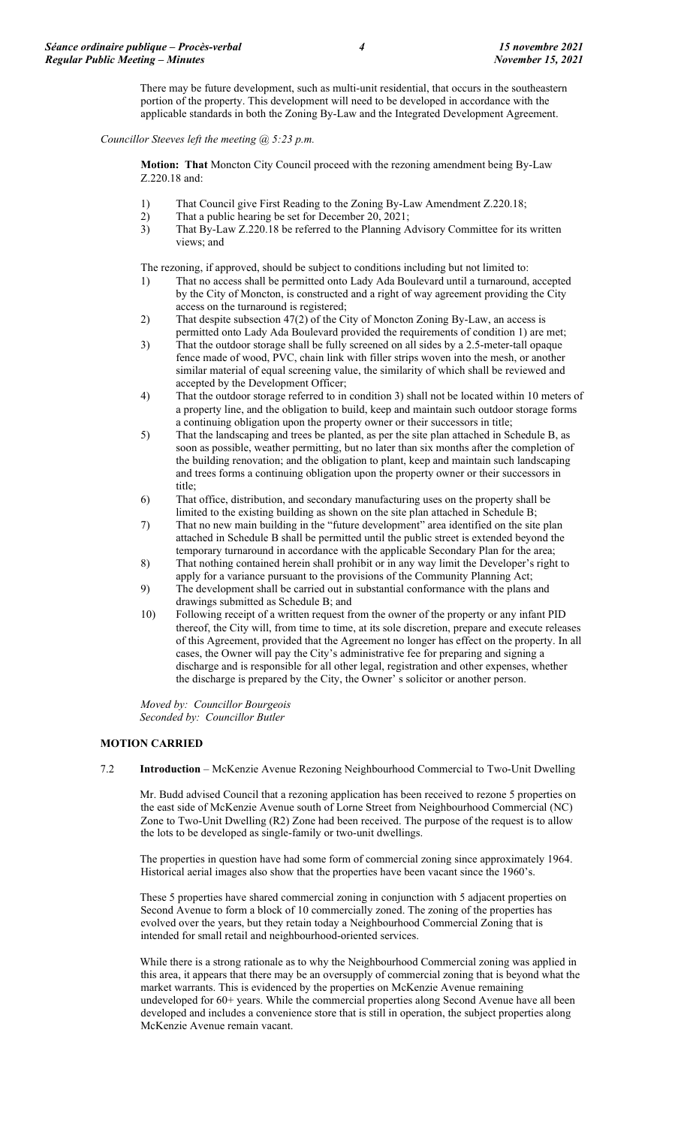There may be future development, such as multi-unit residential, that occurs in the southeastern portion of the property. This development will need to be developed in accordance with the applicable standards in both the Zoning By-Law and the Integrated Development Agreement.

*Councillor Steeves left the meeting @ 5:23 p.m.*

**Motion: That** Moncton City Council proceed with the rezoning amendment being By-Law Z.220.18 and:

- 1) That Council give First Reading to the Zoning By-Law Amendment Z.220.18;
- 2) That a public hearing be set for December 20, 2021;<br>3) That By-Law Z.220.18 be referred to the Planning A
- That By-Law Z.220.18 be referred to the Planning Advisory Committee for its written views; and

The rezoning, if approved, should be subject to conditions including but not limited to:

- 1) That no access shall be permitted onto Lady Ada Boulevard until a turnaround, accepted by the City of Moncton, is constructed and a right of way agreement providing the City access on the turnaround is registered;
- 2) That despite subsection 47(2) of the City of Moncton Zoning By-Law, an access is permitted onto Lady Ada Boulevard provided the requirements of condition 1) are met;
- 3) That the outdoor storage shall be fully screened on all sides by a 2.5-meter-tall opaque fence made of wood, PVC, chain link with filler strips woven into the mesh, or another similar material of equal screening value, the similarity of which shall be reviewed and accepted by the Development Officer;
- 4) That the outdoor storage referred to in condition 3) shall not be located within 10 meters of a property line, and the obligation to build, keep and maintain such outdoor storage forms a continuing obligation upon the property owner or their successors in title;
- 5) That the landscaping and trees be planted, as per the site plan attached in Schedule B, as soon as possible, weather permitting, but no later than six months after the completion of the building renovation; and the obligation to plant, keep and maintain such landscaping and trees forms a continuing obligation upon the property owner or their successors in title;
- 6) That office, distribution, and secondary manufacturing uses on the property shall be limited to the existing building as shown on the site plan attached in Schedule B;
- 7) That no new main building in the "future development" area identified on the site plan attached in Schedule B shall be permitted until the public street is extended beyond the temporary turnaround in accordance with the applicable Secondary Plan for the area;
- 8) That nothing contained herein shall prohibit or in any way limit the Developer's right to apply for a variance pursuant to the provisions of the Community Planning Act;
- 9) The development shall be carried out in substantial conformance with the plans and drawings submitted as Schedule B; and
- 10) Following receipt of a written request from the owner of the property or any infant PID thereof, the City will, from time to time, at its sole discretion, prepare and execute releases of this Agreement, provided that the Agreement no longer has effect on the property. In all cases, the Owner will pay the City's administrative fee for preparing and signing a discharge and is responsible for all other legal, registration and other expenses, whether the discharge is prepared by the City, the Owner' s solicitor or another person.

*Moved by: Councillor Bourgeois Seconded by: Councillor Butler*

## **MOTION CARRIED**

7.2 **Introduction** – McKenzie Avenue Rezoning Neighbourhood Commercial to Two-Unit Dwelling

Mr. Budd advised Council that a rezoning application has been received to rezone 5 properties on the east side of McKenzie Avenue south of Lorne Street from Neighbourhood Commercial (NC) Zone to Two-Unit Dwelling (R2) Zone had been received. The purpose of the request is to allow the lots to be developed as single-family or two-unit dwellings.

The properties in question have had some form of commercial zoning since approximately 1964. Historical aerial images also show that the properties have been vacant since the 1960's.

These 5 properties have shared commercial zoning in conjunction with 5 adjacent properties on Second Avenue to form a block of 10 commercially zoned. The zoning of the properties has evolved over the years, but they retain today a Neighbourhood Commercial Zoning that is intended for small retail and neighbourhood-oriented services.

While there is a strong rationale as to why the Neighbourhood Commercial zoning was applied in this area, it appears that there may be an oversupply of commercial zoning that is beyond what the market warrants. This is evidenced by the properties on McKenzie Avenue remaining undeveloped for 60+ years. While the commercial properties along Second Avenue have all been developed and includes a convenience store that is still in operation, the subject properties along McKenzie Avenue remain vacant.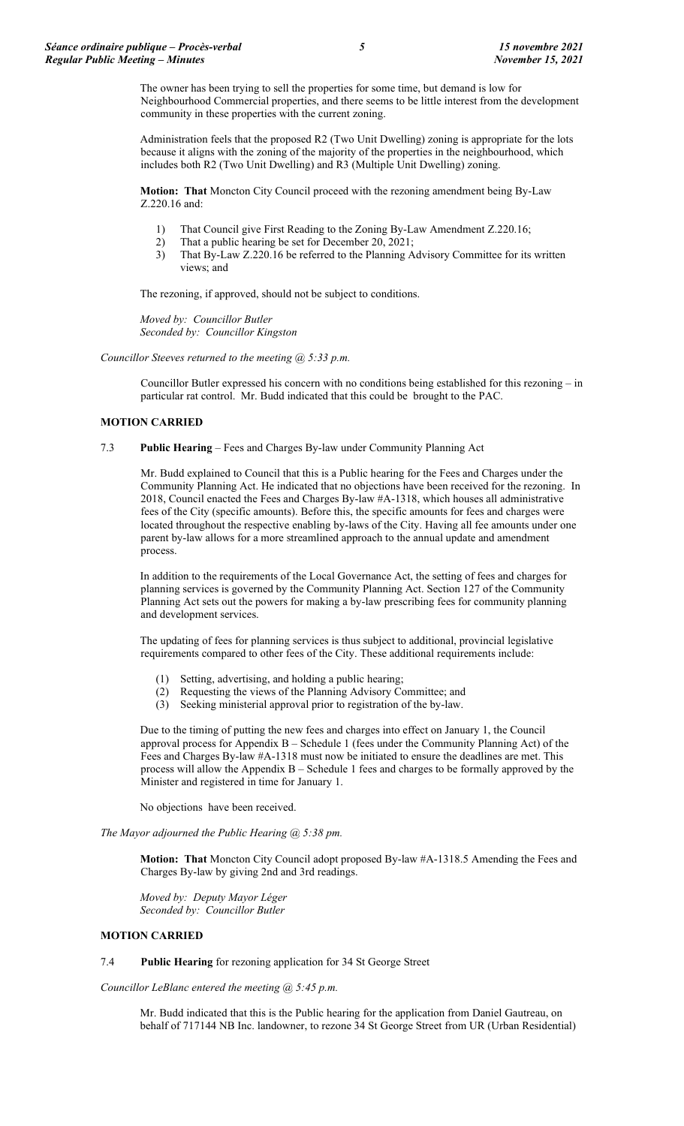The owner has been trying to sell the properties for some time, but demand is low for Neighbourhood Commercial properties, and there seems to be little interest from the development community in these properties with the current zoning.

Administration feels that the proposed R2 (Two Unit Dwelling) zoning is appropriate for the lots because it aligns with the zoning of the majority of the properties in the neighbourhood, which includes both R2 (Two Unit Dwelling) and R3 (Multiple Unit Dwelling) zoning.

**Motion: That** Moncton City Council proceed with the rezoning amendment being By-Law Z.220.16 and:

- 1) That Council give First Reading to the Zoning By-Law Amendment Z.220.16;
- 2) That a public hearing be set for December 20, 2021;
- 3) That By-Law Z.220.16 be referred to the Planning Advisory Committee for its written views; and

The rezoning, if approved, should not be subject to conditions.

*Moved by: Councillor Butler Seconded by: Councillor Kingston*

*Councillor Steeves returned to the meeting @ 5:33 p.m.*

Councillor Butler expressed his concern with no conditions being established for this rezoning – in particular rat control. Mr. Budd indicated that this could be brought to the PAC.

#### **MOTION CARRIED**

7.3 **Public Hearing** – Fees and Charges By-law under Community Planning Act

Mr. Budd explained to Council that this is a Public hearing for the Fees and Charges under the Community Planning Act. He indicated that no objections have been received for the rezoning. In 2018, Council enacted the Fees and Charges By-law #A-1318, which houses all administrative fees of the City (specific amounts). Before this, the specific amounts for fees and charges were located throughout the respective enabling by-laws of the City. Having all fee amounts under one parent by-law allows for a more streamlined approach to the annual update and amendment process.

In addition to the requirements of the Local Governance Act, the setting of fees and charges for planning services is governed by the Community Planning Act. Section 127 of the Community Planning Act sets out the powers for making a by-law prescribing fees for community planning and development services.

The updating of fees for planning services is thus subject to additional, provincial legislative requirements compared to other fees of the City. These additional requirements include:

- (1) Setting, advertising, and holding a public hearing;
- (2) Requesting the views of the Planning Advisory Committee; and
- (3) Seeking ministerial approval prior to registration of the by-law.

Due to the timing of putting the new fees and charges into effect on January 1, the Council approval process for Appendix  $B - S$ chedule 1 (fees under the Community Planning Act) of the Fees and Charges By-law #A-1318 must now be initiated to ensure the deadlines are met. This process will allow the Appendix B – Schedule 1 fees and charges to be formally approved by the Minister and registered in time for January 1.

No objections have been received.

*The Mayor adjourned the Public Hearing @ 5:38 pm.*

**Motion: That** Moncton City Council adopt proposed By-law #A-1318.5 Amending the Fees and Charges By-law by giving 2nd and 3rd readings.

*Moved by: Deputy Mayor Léger Seconded by: Councillor Butler*

#### **MOTION CARRIED**

7.4 **Public Hearing** for rezoning application for 34 St George Street

*Councillor LeBlanc entered the meeting @ 5:45 p.m.*

Mr. Budd indicated that this is the Public hearing for the application from Daniel Gautreau, on behalf of 717144 NB Inc. landowner, to rezone 34 St George Street from UR (Urban Residential)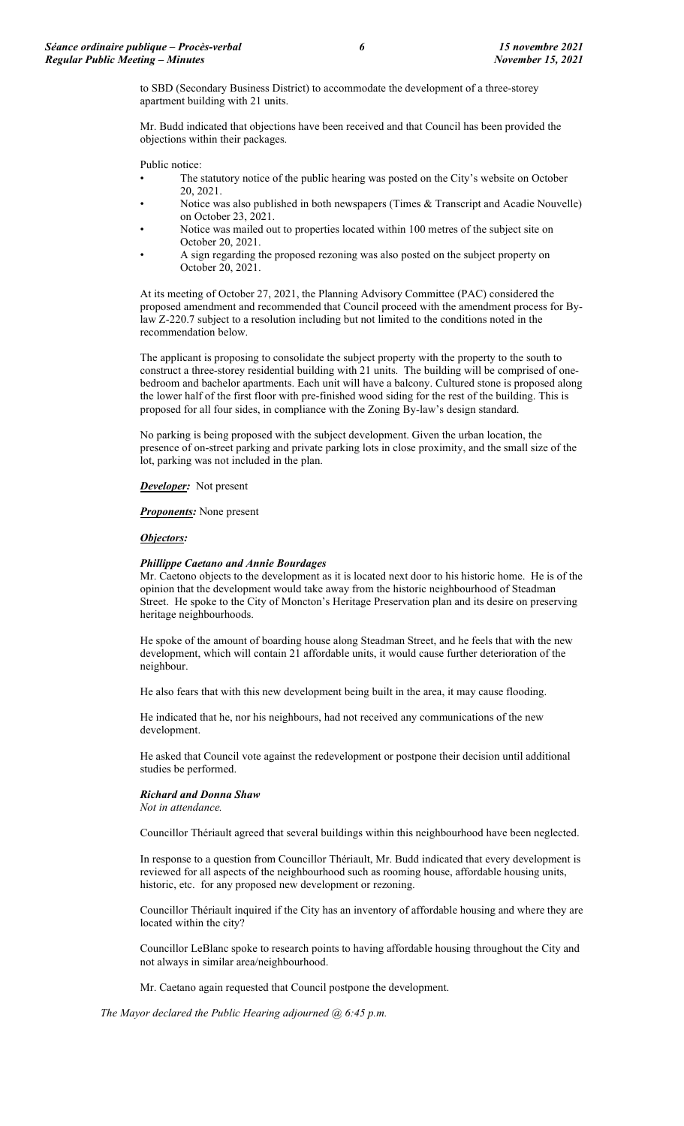to SBD (Secondary Business District) to accommodate the development of a three-storey apartment building with 21 units.

Mr. Budd indicated that objections have been received and that Council has been provided the objections within their packages.

Public notice:

- The statutory notice of the public hearing was posted on the City's website on October 20, 2021.
- Notice was also published in both newspapers (Times  $\&$  Transcript and Acadie Nouvelle) on October 23, 2021.
- Notice was mailed out to properties located within 100 metres of the subject site on October 20, 2021.
- A sign regarding the proposed rezoning was also posted on the subject property on October 20, 2021.

At its meeting of October 27, 2021, the Planning Advisory Committee (PAC) considered the proposed amendment and recommended that Council proceed with the amendment process for Bylaw Z-220.7 subject to a resolution including but not limited to the conditions noted in the recommendation below.

The applicant is proposing to consolidate the subject property with the property to the south to construct a three-storey residential building with 21 units. The building will be comprised of onebedroom and bachelor apartments. Each unit will have a balcony. Cultured stone is proposed along the lower half of the first floor with pre-finished wood siding for the rest of the building. This is proposed for all four sides, in compliance with the Zoning By-law's design standard.

No parking is being proposed with the subject development. Given the urban location, the presence of on-street parking and private parking lots in close proximity, and the small size of the lot, parking was not included in the plan.

*Developer:* Not present

*Proponents:* None present

#### *Objectors:*

#### *Phillippe Caetano and Annie Bourdages*

Mr. Caetono objects to the development as it is located next door to his historic home. He is of the opinion that the development would take away from the historic neighbourhood of Steadman Street. He spoke to the City of Moncton's Heritage Preservation plan and its desire on preserving heritage neighbourhoods.

He spoke of the amount of boarding house along Steadman Street, and he feels that with the new development, which will contain 21 affordable units, it would cause further deterioration of the neighbour.

He also fears that with this new development being built in the area, it may cause flooding.

He indicated that he, nor his neighbours, had not received any communications of the new development.

He asked that Council vote against the redevelopment or postpone their decision until additional studies be performed.

#### *Richard and Donna Shaw*

*Not in attendance.*

Councillor Thériault agreed that several buildings within this neighbourhood have been neglected.

In response to a question from Councillor Thériault, Mr. Budd indicated that every development is reviewed for all aspects of the neighbourhood such as rooming house, affordable housing units, historic, etc. for any proposed new development or rezoning.

Councillor Thériault inquired if the City has an inventory of affordable housing and where they are located within the city?

Councillor LeBlanc spoke to research points to having affordable housing throughout the City and not always in similar area/neighbourhood.

Mr. Caetano again requested that Council postpone the development.

*The Mayor declared the Public Hearing adjourned @ 6:45 p.m.*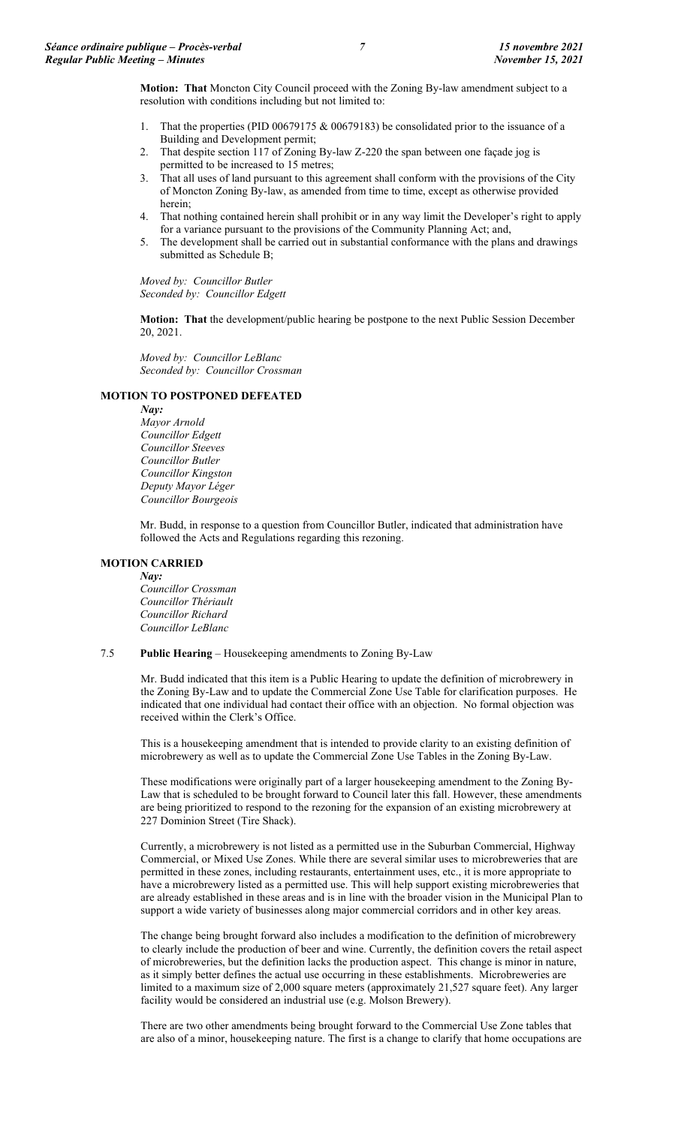**Motion: That** Moncton City Council proceed with the Zoning By-law amendment subject to a resolution with conditions including but not limited to:

- 1. That the properties (PID 00679175 & 00679183) be consolidated prior to the issuance of a Building and Development permit;
- 2. That despite section 117 of Zoning By-law Z-220 the span between one façade jog is permitted to be increased to 15 metres;
- 3. That all uses of land pursuant to this agreement shall conform with the provisions of the City of Moncton Zoning By-law, as amended from time to time, except as otherwise provided herein;
- 4. That nothing contained herein shall prohibit or in any way limit the Developer's right to apply for a variance pursuant to the provisions of the Community Planning Act; and,
- 5. The development shall be carried out in substantial conformance with the plans and drawings submitted as Schedule B;

*Moved by: Councillor Butler Seconded by: Councillor Edgett*

**Motion: That** the development/public hearing be postpone to the next Public Session December 20, 2021.

*Moved by: Councillor LeBlanc Seconded by: Councillor Crossman*

#### **MOTION TO POSTPONED DEFEATED**

*Nay: Mayor Arnold Councillor Edgett Councillor Steeves Councillor Butler Councillor Kingston Deputy Mayor Léger Councillor Bourgeois*

Mr. Budd, in response to a question from Councillor Butler, indicated that administration have followed the Acts and Regulations regarding this rezoning.

#### **MOTION CARRIED** *Nay:*

*Councillor Crossman Councillor Thériault Councillor Richard Councillor LeBlanc*

## 7.5 **Public Hearing** – Housekeeping amendments to Zoning By-Law

Mr. Budd indicated that this item is a Public Hearing to update the definition of microbrewery in the Zoning By-Law and to update the Commercial Zone Use Table for clarification purposes. He indicated that one individual had contact their office with an objection. No formal objection was received within the Clerk's Office.

This is a housekeeping amendment that is intended to provide clarity to an existing definition of microbrewery as well as to update the Commercial Zone Use Tables in the Zoning By-Law.

These modifications were originally part of a larger housekeeping amendment to the Zoning By-Law that is scheduled to be brought forward to Council later this fall. However, these amendments are being prioritized to respond to the rezoning for the expansion of an existing microbrewery at 227 Dominion Street (Tire Shack).

Currently, a microbrewery is not listed as a permitted use in the Suburban Commercial, Highway Commercial, or Mixed Use Zones. While there are several similar uses to microbreweries that are permitted in these zones, including restaurants, entertainment uses, etc., it is more appropriate to have a microbrewery listed as a permitted use. This will help support existing microbreweries that are already established in these areas and is in line with the broader vision in the Municipal Plan to support a wide variety of businesses along major commercial corridors and in other key areas.

The change being brought forward also includes a modification to the definition of microbrewery to clearly include the production of beer and wine. Currently, the definition covers the retail aspect of microbreweries, but the definition lacks the production aspect. This change is minor in nature, as it simply better defines the actual use occurring in these establishments. Microbreweries are limited to a maximum size of 2,000 square meters (approximately 21,527 square feet). Any larger facility would be considered an industrial use (e.g. Molson Brewery).

There are two other amendments being brought forward to the Commercial Use Zone tables that are also of a minor, housekeeping nature. The first is a change to clarify that home occupations are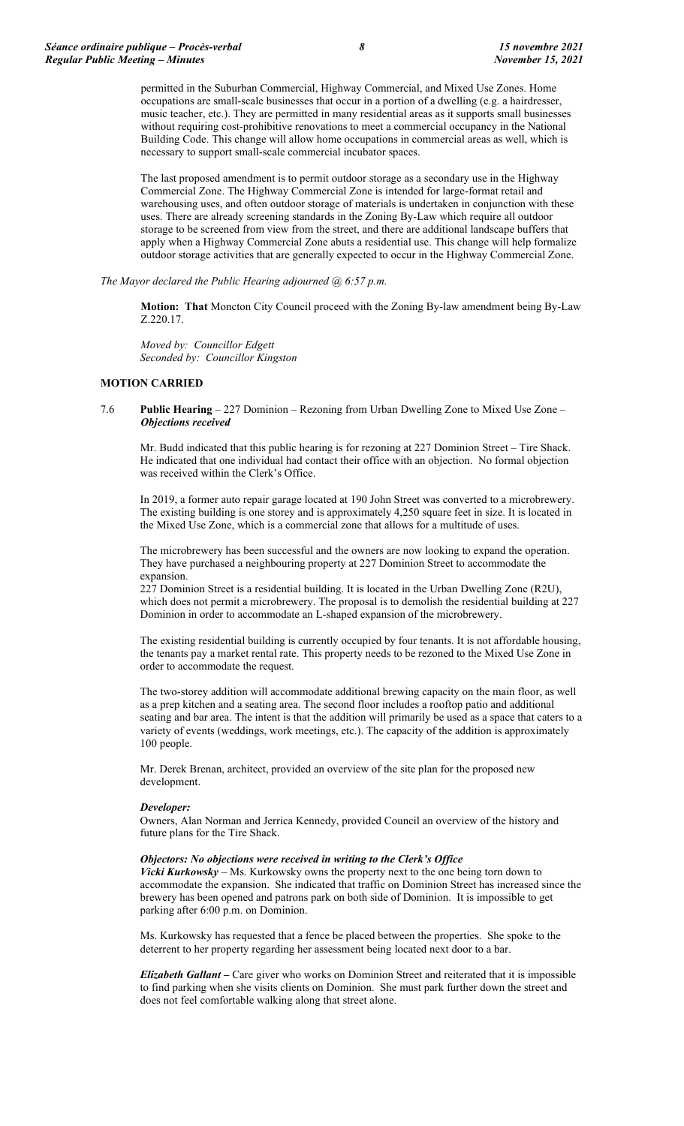permitted in the Suburban Commercial, Highway Commercial, and Mixed Use Zones. Home occupations are small-scale businesses that occur in a portion of a dwelling (e.g. a hairdresser, music teacher, etc.). They are permitted in many residential areas as it supports small businesses without requiring cost-prohibitive renovations to meet a commercial occupancy in the National Building Code. This change will allow home occupations in commercial areas as well, which is necessary to support small-scale commercial incubator spaces.

The last proposed amendment is to permit outdoor storage as a secondary use in the Highway Commercial Zone. The Highway Commercial Zone is intended for large-format retail and warehousing uses, and often outdoor storage of materials is undertaken in conjunction with these uses. There are already screening standards in the Zoning By-Law which require all outdoor storage to be screened from view from the street, and there are additional landscape buffers that apply when a Highway Commercial Zone abuts a residential use. This change will help formalize outdoor storage activities that are generally expected to occur in the Highway Commercial Zone.

*The Mayor declared the Public Hearing adjourned @ 6:57 p.m.*

**Motion: That** Moncton City Council proceed with the Zoning By-law amendment being By-Law Z.220.17.

*Moved by: Councillor Edgett Seconded by: Councillor Kingston*

### **MOTION CARRIED**

7.6 **Public Hearing** – 227 Dominion – Rezoning from Urban Dwelling Zone to Mixed Use Zone – *Objections received*

Mr. Budd indicated that this public hearing is for rezoning at 227 Dominion Street – Tire Shack. He indicated that one individual had contact their office with an objection. No formal objection was received within the Clerk's Office.

In 2019, a former auto repair garage located at 190 John Street was converted to a microbrewery. The existing building is one storey and is approximately 4,250 square feet in size. It is located in the Mixed Use Zone, which is a commercial zone that allows for a multitude of uses.

The microbrewery has been successful and the owners are now looking to expand the operation. They have purchased a neighbouring property at 227 Dominion Street to accommodate the expansion.

227 Dominion Street is a residential building. It is located in the Urban Dwelling Zone (R2U), which does not permit a microbrewery. The proposal is to demolish the residential building at 227 Dominion in order to accommodate an L-shaped expansion of the microbrewery.

The existing residential building is currently occupied by four tenants. It is not affordable housing, the tenants pay a market rental rate. This property needs to be rezoned to the Mixed Use Zone in order to accommodate the request.

The two-storey addition will accommodate additional brewing capacity on the main floor, as well as a prep kitchen and a seating area. The second floor includes a rooftop patio and additional seating and bar area. The intent is that the addition will primarily be used as a space that caters to a variety of events (weddings, work meetings, etc.). The capacity of the addition is approximately 100 people.

Mr. Derek Brenan, architect, provided an overview of the site plan for the proposed new development.

### *Developer:*

Owners, Alan Norman and Jerrica Kennedy, provided Council an overview of the history and future plans for the Tire Shack.

#### *Objectors: No objections were received in writing to the Clerk's Office*

*Vicki Kurkowsky* – Ms. Kurkowsky owns the property next to the one being torn down to accommodate the expansion. She indicated that traffic on Dominion Street has increased since the brewery has been opened and patrons park on both side of Dominion. It is impossible to get parking after 6:00 p.m. on Dominion.

Ms. Kurkowsky has requested that a fence be placed between the properties. She spoke to the deterrent to her property regarding her assessment being located next door to a bar.

*Elizabeth Gallant –* Care giver who works on Dominion Street and reiterated that it is impossible to find parking when she visits clients on Dominion. She must park further down the street and does not feel comfortable walking along that street alone.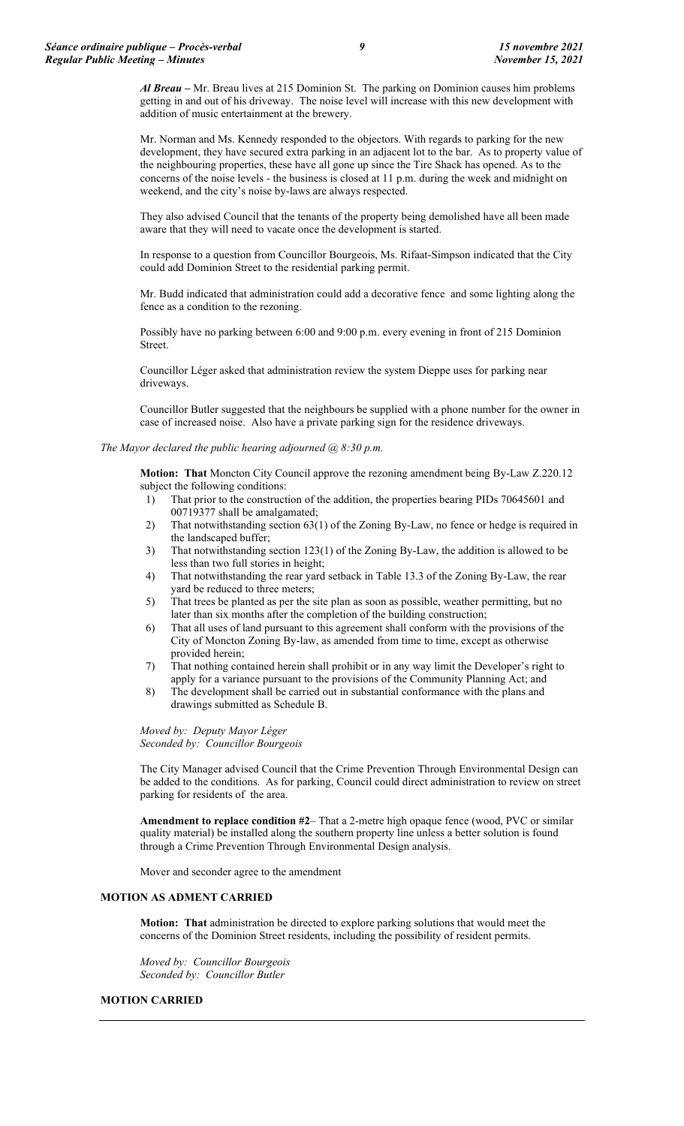*Al Breau –* Mr. Breau lives at 215 Dominion St. The parking on Dominion causes him problems getting in and out of his driveway. The noise level will increase with this new development with addition of music entertainment at the brewery.

Mr. Norman and Ms. Kennedy responded to the objectors. With regards to parking for the new development, they have secured extra parking in an adjacent lot to the bar. As to property value of the neighbouring properties, these have all gone up since the Tire Shack has opened. As to the concerns of the noise levels - the business is closed at 11 p.m. during the week and midnight on weekend, and the city's noise by-laws are always respected.

They also advised Council that the tenants of the property being demolished have all been made aware that they will need to vacate once the development is started.

In response to a question from Councillor Bourgeois, Ms. Rifaat-Simpson indicated that the City could add Dominion Street to the residential parking permit.

Mr. Budd indicated that administration could add a decorative fence and some lighting along the fence as a condition to the rezoning.

Possibly have no parking between 6:00 and 9:00 p.m. every evening in front of 215 Dominion Street.

Councillor Léger asked that administration review the system Dieppe uses for parking near driveways.

Councillor Butler suggested that the neighbours be supplied with a phone number for the owner in case of increased noise. Also have a private parking sign for the residence driveways.

#### *The Mayor declared the public hearing adjourned @ 8:30 p.m.*

**Motion: That** Moncton City Council approve the rezoning amendment being By-Law Z.220.12 subject the following conditions:

- 1) That prior to the construction of the addition, the properties bearing PIDs 70645601 and 00719377 shall be amalgamated;
- 2) That notwithstanding section 63(1) of the Zoning By-Law, no fence or hedge is required in the landscaped buffer;
- 3) That notwithstanding section 123(1) of the Zoning By-Law, the addition is allowed to be less than two full stories in height;
- 4) That notwithstanding the rear yard setback in Table 13.3 of the Zoning By-Law, the rear yard be reduced to three meters;
- 5) That trees be planted as per the site plan as soon as possible, weather permitting, but no later than six months after the completion of the building construction;
- 6) That all uses of land pursuant to this agreement shall conform with the provisions of the City of Moncton Zoning By-law, as amended from time to time, except as otherwise provided herein;
- 7) That nothing contained herein shall prohibit or in any way limit the Developer's right to apply for a variance pursuant to the provisions of the Community Planning Act; and
- 8) The development shall be carried out in substantial conformance with the plans and drawings submitted as Schedule B.

*Moved by: Deputy Mayor Léger Seconded by: Councillor Bourgeois*

The City Manager advised Council that the Crime Prevention Through Environmental Design can be added to the conditions. As for parking, Council could direct administration to review on street parking for residents of the area.

**Amendment to replace condition #2**– That a 2-metre high opaque fence (wood, PVC or similar quality material) be installed along the southern property line unless a better solution is found through a Crime Prevention Through Environmental Design analysis.

Mover and seconder agree to the amendment

### **MOTION AS ADMENT CARRIED**

**Motion: That** administration be directed to explore parking solutions that would meet the concerns of the Dominion Street residents, including the possibility of resident permits.

*Moved by: Councillor Bourgeois Seconded by: Councillor Butler*

### **MOTION CARRIED**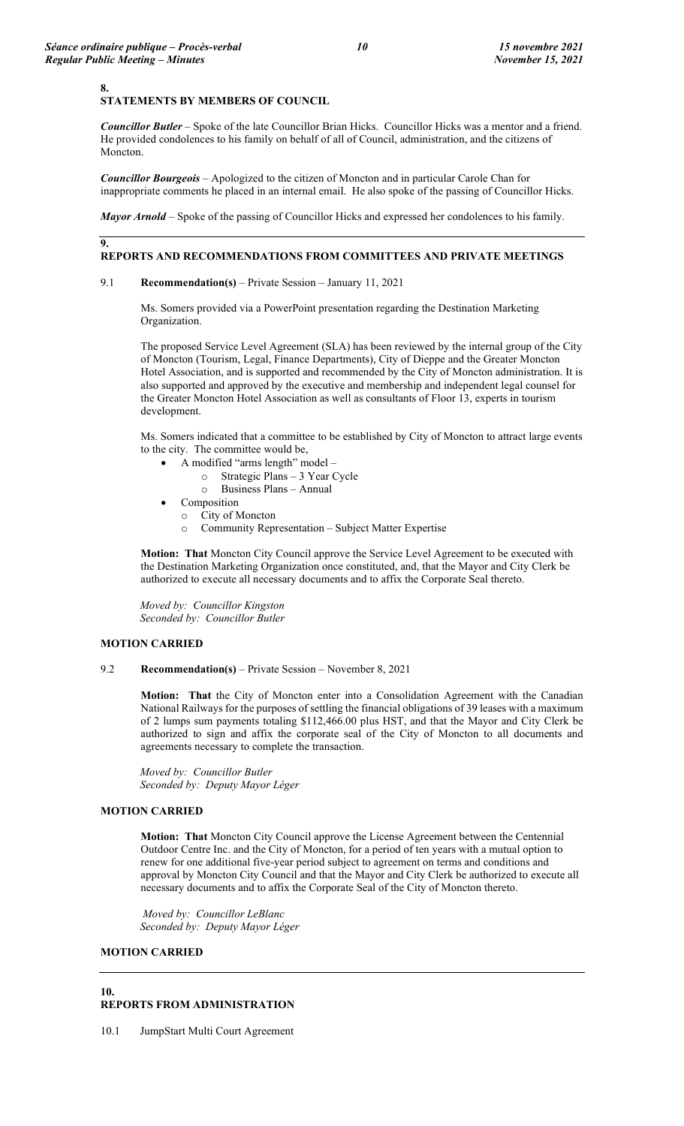#### **8.**

**9.**

### **STATEMENTS BY MEMBERS OF COUNCIL**

*Councillor Butler* – Spoke of the late Councillor Brian Hicks. Councillor Hicks was a mentor and a friend. He provided condolences to his family on behalf of all of Council, administration, and the citizens of Moncton.

*Councillor Bourgeois* – Apologized to the citizen of Moncton and in particular Carole Chan for inappropriate comments he placed in an internal email. He also spoke of the passing of Councillor Hicks.

*Mayor Arnold* – Spoke of the passing of Councillor Hicks and expressed her condolences to his family.

### **REPORTS AND RECOMMENDATIONS FROM COMMITTEES AND PRIVATE MEETINGS**

#### 9.1 **Recommendation(s)** – Private Session – January 11, 2021

Ms. Somers provided via a PowerPoint presentation regarding the Destination Marketing Organization.

The proposed Service Level Agreement (SLA) has been reviewed by the internal group of the City of Moncton (Tourism, Legal, Finance Departments), City of Dieppe and the Greater Moncton Hotel Association, and is supported and recommended by the City of Moncton administration. It is also supported and approved by the executive and membership and independent legal counsel for the Greater Moncton Hotel Association as well as consultants of Floor 13, experts in tourism development.

Ms. Somers indicated that a committee to be established by City of Moncton to attract large events to the city. The committee would be,

- A modified "arms length" model
	- o Strategic Plans 3 Year Cycle
	- o Business Plans Annual
	- **Composition** 
		- o City of Moncton
		- o Community Representation Subject Matter Expertise

**Motion: That** Moncton City Council approve the Service Level Agreement to be executed with the Destination Marketing Organization once constituted, and, that the Mayor and City Clerk be authorized to execute all necessary documents and to affix the Corporate Seal thereto.

*Moved by: Councillor Kingston Seconded by: Councillor Butler*

# **MOTION CARRIED**

### 9.2 **Recommendation(s)** – Private Session – November 8, 2021

**Motion: That** the City of Moncton enter into a Consolidation Agreement with the Canadian National Railways for the purposes of settling the financial obligations of 39 leases with a maximum of 2 lumps sum payments totaling \$112,466.00 plus HST, and that the Mayor and City Clerk be authorized to sign and affix the corporate seal of the City of Moncton to all documents and agreements necessary to complete the transaction.

*Moved by: Councillor Butler Seconded by: Deputy Mayor Léger*

## **MOTION CARRIED**

**Motion: That** Moncton City Council approve the License Agreement between the Centennial Outdoor Centre Inc. and the City of Moncton, for a period of ten years with a mutual option to renew for one additional five-year period subject to agreement on terms and conditions and approval by Moncton City Council and that the Mayor and City Clerk be authorized to execute all necessary documents and to affix the Corporate Seal of the City of Moncton thereto.

*Moved by: Councillor LeBlanc Seconded by: Deputy Mayor Léger*

#### **MOTION CARRIED**

#### **10. REPORTS FROM ADMINISTRATION**

10.1 JumpStart Multi Court Agreement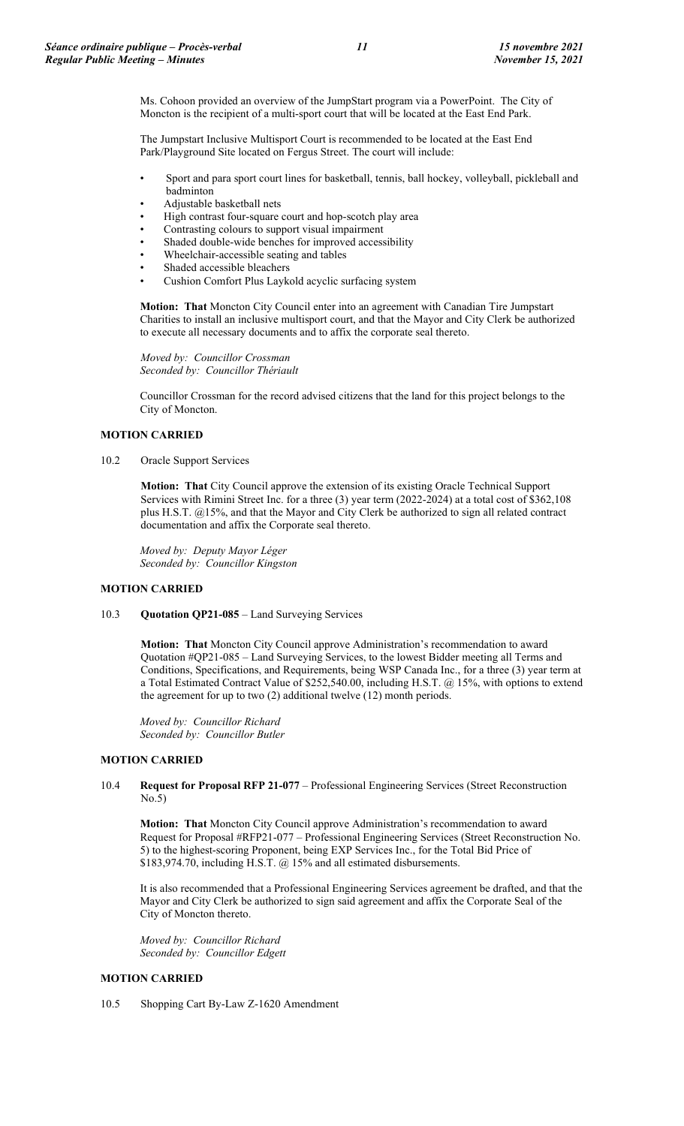Ms. Cohoon provided an overview of the JumpStart program via a PowerPoint. The City of Moncton is the recipient of a multi-sport court that will be located at the East End Park.

The Jumpstart Inclusive Multisport Court is recommended to be located at the East End Park/Playground Site located on Fergus Street. The court will include:

- Sport and para sport court lines for basketball, tennis, ball hockey, volleyball, pickleball and badminton
- Adjustable basketball nets
- High contrast four-square court and hop-scotch play area
- Contrasting colours to support visual impairment
- Shaded double-wide benches for improved accessibility
- Wheelchair-accessible seating and tables
- Shaded accessible bleachers
- Cushion Comfort Plus Laykold acyclic surfacing system

**Motion: That** Moncton City Council enter into an agreement with Canadian Tire Jumpstart Charities to install an inclusive multisport court, and that the Mayor and City Clerk be authorized to execute all necessary documents and to affix the corporate seal thereto.

*Moved by: Councillor Crossman Seconded by: Councillor Thériault*

Councillor Crossman for the record advised citizens that the land for this project belongs to the City of Moncton.

## **MOTION CARRIED**

10.2 Oracle Support Services

**Motion: That** City Council approve the extension of its existing Oracle Technical Support Services with Rimini Street Inc. for a three (3) year term (2022-2024) at a total cost of \$362,108 plus H.S.T. @15%, and that the Mayor and City Clerk be authorized to sign all related contract documentation and affix the Corporate seal thereto.

*Moved by: Deputy Mayor Léger Seconded by: Councillor Kingston*

## **MOTION CARRIED**

10.3 **Quotation QP21-085** – Land Surveying Services

**Motion: That** Moncton City Council approve Administration's recommendation to award Quotation #QP21-085 – Land Surveying Services, to the lowest Bidder meeting all Terms and Conditions, Specifications, and Requirements, being WSP Canada Inc., for a three (3) year term at a Total Estimated Contract Value of \$252,540.00, including H.S.T. @ 15%, with options to extend the agreement for up to two (2) additional twelve (12) month periods.

*Moved by: Councillor Richard Seconded by: Councillor Butler*

## **MOTION CARRIED**

10.4 **Request for Proposal RFP 21-077** – Professional Engineering Services (Street Reconstruction No.5)

**Motion: That** Moncton City Council approve Administration's recommendation to award Request for Proposal #RFP21-077 – Professional Engineering Services (Street Reconstruction No. 5) to the highest-scoring Proponent, being EXP Services Inc., for the Total Bid Price of \$183,974.70, including H.S.T. @ 15% and all estimated disbursements.

It is also recommended that a Professional Engineering Services agreement be drafted, and that the Mayor and City Clerk be authorized to sign said agreement and affix the Corporate Seal of the City of Moncton thereto.

*Moved by: Councillor Richard Seconded by: Councillor Edgett*

### **MOTION CARRIED**

10.5 Shopping Cart By-Law Z-1620 Amendment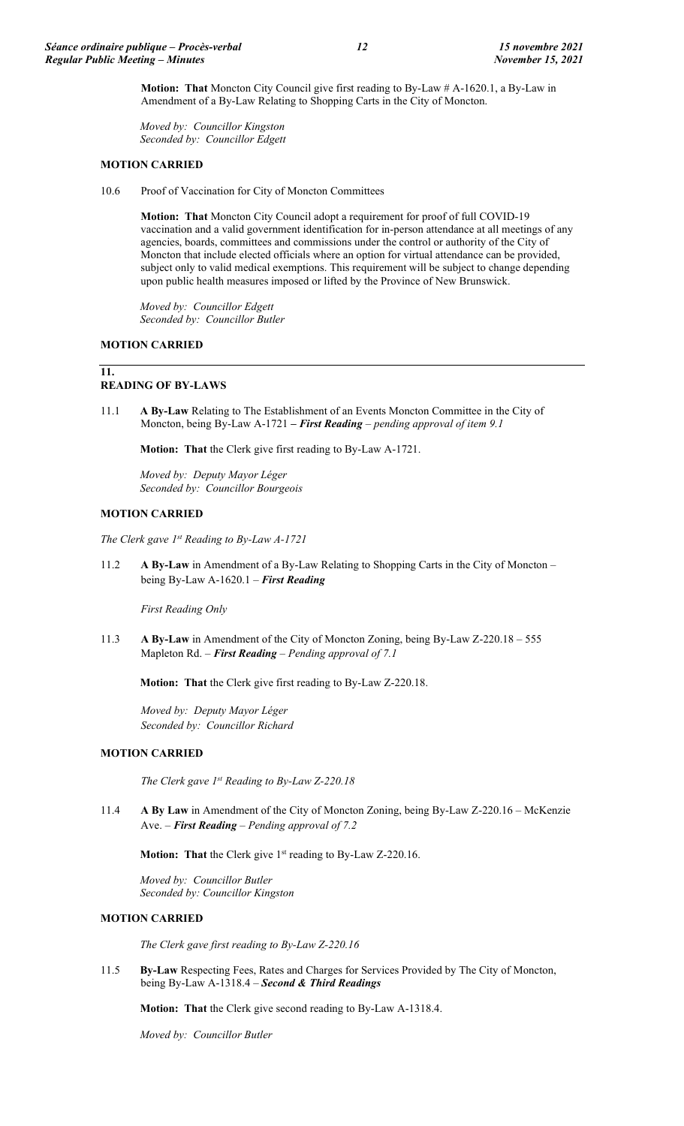**Motion: That** Moncton City Council give first reading to By-Law # A-1620.1, a By-Law in Amendment of a By-Law Relating to Shopping Carts in the City of Moncton.

*Moved by: Councillor Kingston Seconded by: Councillor Edgett*

## **MOTION CARRIED**

10.6 Proof of Vaccination for City of Moncton Committees

**Motion: That** Moncton City Council adopt a requirement for proof of full COVID-19 vaccination and a valid government identification for in-person attendance at all meetings of any agencies, boards, committees and commissions under the control or authority of the City of Moncton that include elected officials where an option for virtual attendance can be provided, subject only to valid medical exemptions. This requirement will be subject to change depending upon public health measures imposed or lifted by the Province of New Brunswick.

*Moved by: Councillor Edgett Seconded by: Councillor Butler*

### **MOTION CARRIED**

**11.**

# **READING OF BY-LAWS**

11.1 **A By-Law** Relating to The Establishment of an Events Moncton Committee in the City of Moncton, being By-Law A-1721 **–** *First Reading – pending approval of item 9.1*

**Motion: That** the Clerk give first reading to By-Law A-1721.

*Moved by: Deputy Mayor Léger Seconded by: Councillor Bourgeois*

### **MOTION CARRIED**

*The Clerk gave 1st Reading to By-Law A-1721*

11.2 **A By-Law** in Amendment of a By-Law Relating to Shopping Carts in the City of Moncton – being By-Law A-1620.1 – *First Reading*

*First Reading Only*

11.3 **A By-Law** in Amendment of the City of Moncton Zoning, being By-Law Z-220.18 – 555 Mapleton Rd. – *First Reading* – *Pending approval of 7.1*

**Motion: That** the Clerk give first reading to By-Law Z-220.18.

*Moved by: Deputy Mayor Léger Seconded by: Councillor Richard*

## **MOTION CARRIED**

*The Clerk gave 1st Reading to By-Law Z-220.18*

11.4 **A By Law** in Amendment of the City of Moncton Zoning, being By-Law Z-220.16 – McKenzie Ave. – *First Reading* – *Pending approval of 7.2*

**Motion: That** the Clerk give 1<sup>st</sup> reading to By-Law Z-220.16.

*Moved by: Councillor Butler Seconded by: Councillor Kingston*

### **MOTION CARRIED**

*The Clerk gave first reading to By-Law Z-220.16*

11.5 **By-Law** Respecting Fees, Rates and Charges for Services Provided by The City of Moncton, being By-Law A-1318.4 – *Second & Third Readings*

**Motion: That** the Clerk give second reading to By-Law A-1318.4.

*Moved by: Councillor Butler*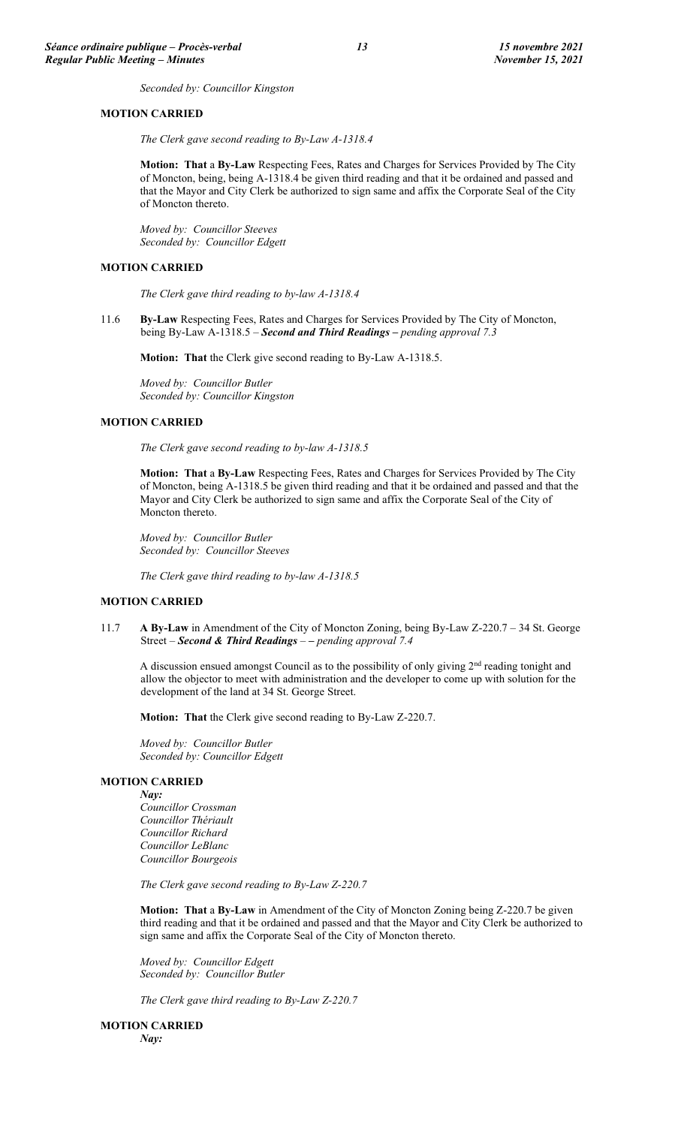*Seconded by: Councillor Kingston*

#### **MOTION CARRIED**

*The Clerk gave second reading to By-Law A-1318.4*

**Motion: That** a **By-Law** Respecting Fees, Rates and Charges for Services Provided by The City of Moncton, being, being A-1318.4 be given third reading and that it be ordained and passed and that the Mayor and City Clerk be authorized to sign same and affix the Corporate Seal of the City of Moncton thereto.

*Moved by: Councillor Steeves Seconded by: Councillor Edgett*

## **MOTION CARRIED**

*The Clerk gave third reading to by-law A-1318.4*

11.6 **By-Law** Respecting Fees, Rates and Charges for Services Provided by The City of Moncton, being By-Law A-1318.5 – *Second and Third Readings – pending approval 7.3*

**Motion: That** the Clerk give second reading to By-Law A-1318.5.

*Moved by: Councillor Butler Seconded by: Councillor Kingston*

### **MOTION CARRIED**

*The Clerk gave second reading to by-law A-1318.5*

**Motion: That** a **By-Law** Respecting Fees, Rates and Charges for Services Provided by The City of Moncton, being A-1318.5 be given third reading and that it be ordained and passed and that the Mayor and City Clerk be authorized to sign same and affix the Corporate Seal of the City of Moncton thereto.

*Moved by: Councillor Butler Seconded by: Councillor Steeves*

*The Clerk gave third reading to by-law A-1318.5*

## **MOTION CARRIED**

11.7 **A By-Law** in Amendment of the City of Moncton Zoning, being By-Law Z-220.7 – 34 St. George Street – *Second & Third Readings – – pending approval 7.4*

A discussion ensued amongst Council as to the possibility of only giving 2nd reading tonight and allow the objector to meet with administration and the developer to come up with solution for the development of the land at 34 St. George Street.

**Motion: That** the Clerk give second reading to By-Law Z-220.7.

*Moved by: Councillor Butler Seconded by: Councillor Edgett*

### **MOTION CARRIED**

*Nay:* 

*Councillor Crossman Councillor Thériault Councillor Richard Councillor LeBlanc Councillor Bourgeois*

*The Clerk gave second reading to By-Law Z-220.7*

**Motion: That** a **By-Law** in Amendment of the City of Moncton Zoning being Z-220.7 be given third reading and that it be ordained and passed and that the Mayor and City Clerk be authorized to sign same and affix the Corporate Seal of the City of Moncton thereto.

*Moved by: Councillor Edgett Seconded by: Councillor Butler*

*The Clerk gave third reading to By-Law Z-220.7*

**MOTION CARRIED** *Nay:*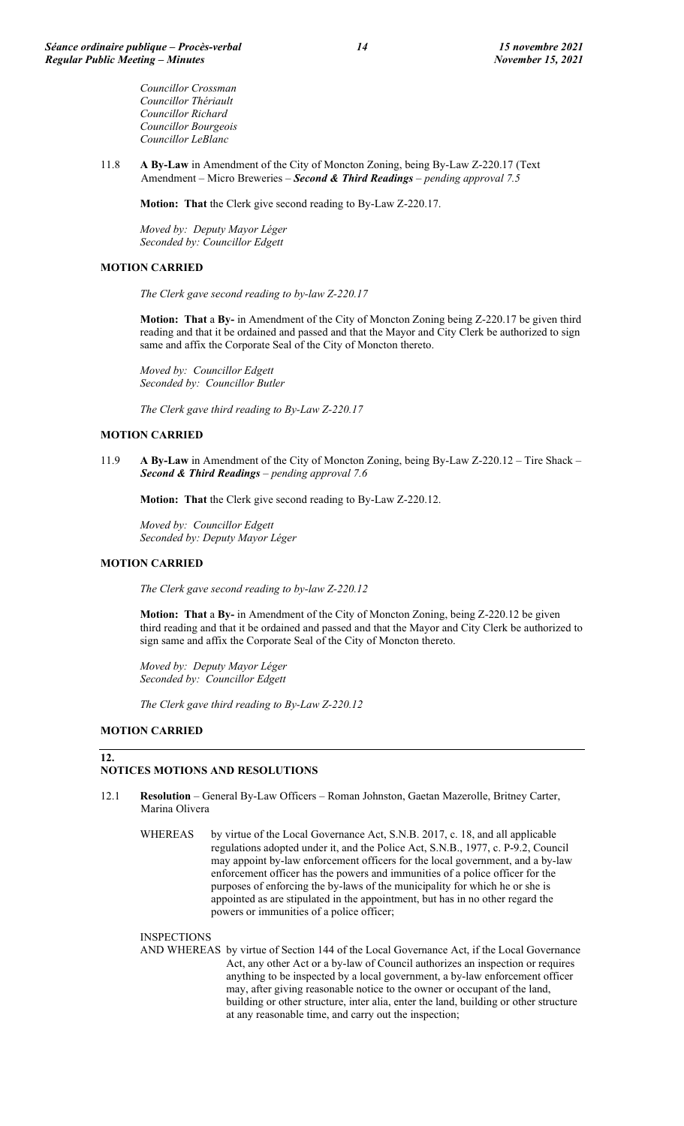*Councillor Crossman Councillor Thériault Councillor Richard Councillor Bourgeois Councillor LeBlanc*

11.8 **A By-Law** in Amendment of the City of Moncton Zoning, being By-Law Z-220.17 (Text Amendment – Micro Breweries – *Second & Third Readings – pending approval 7.5*

**Motion: That** the Clerk give second reading to By-Law Z-220.17.

*Moved by: Deputy Mayor Léger Seconded by: Councillor Edgett*

## **MOTION CARRIED**

*The Clerk gave second reading to by-law Z-220.17*

**Motion: That** a **By-** in Amendment of the City of Moncton Zoning being Z-220.17 be given third reading and that it be ordained and passed and that the Mayor and City Clerk be authorized to sign same and affix the Corporate Seal of the City of Moncton thereto.

*Moved by: Councillor Edgett Seconded by: Councillor Butler*

*The Clerk gave third reading to By-Law Z-220.17*

### **MOTION CARRIED**

11.9 **A By-Law** in Amendment of the City of Moncton Zoning, being By-Law Z-220.12 – Tire Shack – *Second & Third Readings – pending approval 7.6*

**Motion: That** the Clerk give second reading to By-Law Z-220.12.

*Moved by: Councillor Edgett Seconded by: Deputy Mayor Léger*

#### **MOTION CARRIED**

*The Clerk gave second reading to by-law Z-220.12*

**Motion: That** a **By-** in Amendment of the City of Moncton Zoning, being Z-220.12 be given third reading and that it be ordained and passed and that the Mayor and City Clerk be authorized to sign same and affix the Corporate Seal of the City of Moncton thereto.

*Moved by: Deputy Mayor Léger Seconded by: Councillor Edgett*

*The Clerk gave third reading to By-Law Z-220.12*

## **MOTION CARRIED**

**12.**

## **NOTICES MOTIONS AND RESOLUTIONS**

- 12.1 **Resolution**  General By-Law Officers Roman Johnston, Gaetan Mazerolle, Britney Carter, Marina Olivera
	- WHEREAS by virtue of the Local Governance Act, S.N.B. 2017, c. 18, and all applicable regulations adopted under it, and the Police Act, S.N.B., 1977, c. P-9.2, Council may appoint by-law enforcement officers for the local government, and a by-law enforcement officer has the powers and immunities of a police officer for the purposes of enforcing the by-laws of the municipality for which he or she is appointed as are stipulated in the appointment, but has in no other regard the powers or immunities of a police officer;

#### **INSPECTIONS**

AND WHEREAS by virtue of Section 144 of the Local Governance Act, if the Local Governance Act, any other Act or a by-law of Council authorizes an inspection or requires anything to be inspected by a local government, a by-law enforcement officer may, after giving reasonable notice to the owner or occupant of the land, building or other structure, inter alia, enter the land, building or other structure at any reasonable time, and carry out the inspection;